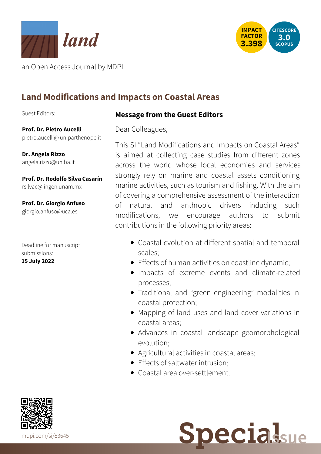



an Open Access Journal by MDPI

# **Land Modifications and Impacts on Coastal Areas**

Guest Editors:

**Message from the Guest Editors**

**Prof. Dr. Pietro Aucelli** pietro.aucelli@ [uniparthenope.it](mailto:pietro.aucelli@uniparthenope.it)

**Dr. Angela Rizzo** [angela.rizzo@uniba.it](mailto:angela.rizzo@uniba.it)

**Prof. Dr. Rodolfo Silva Casarín** [rsilvac@iingen.unam.mx](mailto:rsilvac@iingen.unam.mx)

**Prof. Dr. Giorgio Anfuso** [giorgio.anfuso@uca.es](mailto:giorgio.anfuso@uca.es)

Deadline for manuscript submissions: **15 July 2022**

Dear Colleagues,

This SI "Land Modifications and Impacts on Coastal Areas" is aimed at collecting case studies from different zones across the world whose local economies and services strongly rely on marine and coastal assets conditioning marine activities, such as tourism and fishing. With the aim of covering a comprehensive assessment of the interaction of natural and anthropic drivers inducing such modifications, we encourage authors to submit contributions in the following priority areas:

- Coastal evolution at different spatial and temporal scales;
- Effects of human activities on coastline dynamic;
- Impacts of extreme events and climate-related processes;
- Traditional and "green engineering" modalities in coastal protection;
- Mapping of land uses and land cover variations in coastal areas;
- Advances in coastal landscape geomorphological evolution;
- Agricultural activities in coastal areas;
- **•** Effects of saltwater intrusion:
- Coastal area over-settlement.